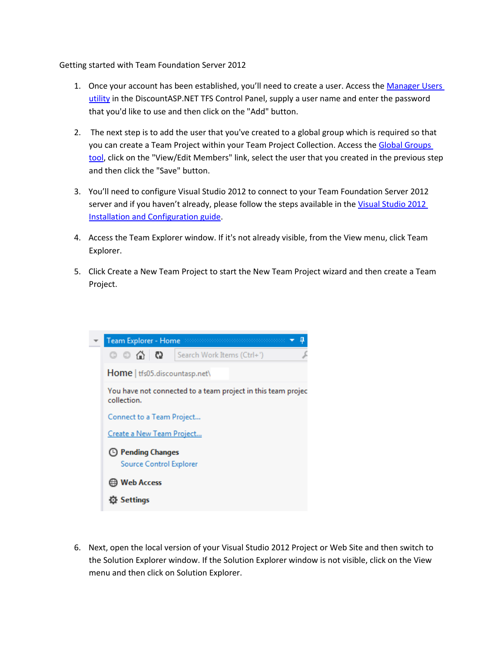Getting started with Team Foundation Server 2012

- 1. Once your account has been established, you'll need to create a user. Access the [Manager Users](https://mytfs.discountasp.net/users/manage.aspx) [utility](https://mytfs.discountasp.net/users/manage.aspx) in the DiscountASP.NET TFS Control Panel, supply a user name and enter the password that you'd like to use and then click on the "Add" button.
- 2. The next step is to add the user that you've created to a global group which is required so that you can create a Team Project within your Team Project Collection. Access the [Global Groups](https://mytfs.discountasp.net/projectcollection/groupmembership.aspx) [tool,](https://mytfs.discountasp.net/projectcollection/groupmembership.aspx) click on the "View/Edit Members" link, select the user that you created in the previous step and then click the "Save" button.
- 3. You'll need to configure Visual Studio 2012 to connect to your Team Foundation Server 2012 server and if you haven't already, please follow the steps available in the [Visual Studio 2012](https://tfs.discountasp.net/KB/a1074/configure-visual-studio-2012-to-connect-to-team-foundation.aspx) [Installation and Configuration guide.](https://tfs.discountasp.net/KB/a1074/configure-visual-studio-2012-to-connect-to-team-foundation.aspx)
- 4. Access the Team Explorer window. If it's not already visible, from the View menu, click Team Explorer.
- 5. Click Create a New Team Project to start the New Team Project wizard and then create a Team Project.



6. Next, open the local version of your Visual Studio 2012 Project or Web Site and then switch to the Solution Explorer window. If the Solution Explorer window is not visible, click on the View menu and then click on Solution Explorer.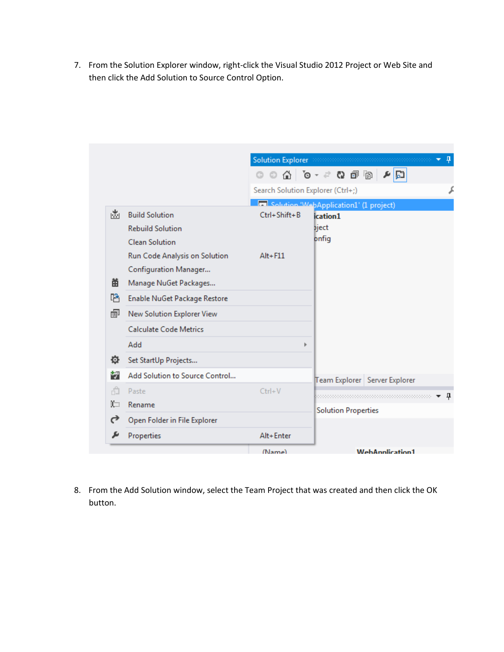7. From the Solution Explorer window, right-click the Visual Studio 2012 Project or Web Site and then click the Add Solution to Source Control Option.

|   |                                | (Name)                            |                                                                         | <b>WebAnnlication1</b>                                    |   |
|---|--------------------------------|-----------------------------------|-------------------------------------------------------------------------|-----------------------------------------------------------|---|
|   | Properties                     | Alt+Enter                         |                                                                         |                                                           |   |
| ♂ | Open Folder in File Explorer   |                                   |                                                                         |                                                           |   |
| Ю | Rename                         |                                   | <b>Solution Properties</b>                                              |                                                           |   |
| ñ | Paste                          | $Ctrl + V$                        |                                                                         |                                                           | ņ |
| 韧 | Add Solution to Source Control |                                   |                                                                         | Team Explorer   Server Explorer                           |   |
| 位 | Set StartUp Projects           |                                   |                                                                         |                                                           |   |
|   | Add                            | ь                                 |                                                                         |                                                           |   |
|   | <b>Calculate Code Metrics</b>  |                                   |                                                                         |                                                           |   |
| 闸 | New Solution Explorer View     |                                   |                                                                         |                                                           |   |
| r | Enable NuGet Package Restore   |                                   |                                                                         |                                                           |   |
| 畄 | Manage NuGet Packages          |                                   |                                                                         |                                                           |   |
|   | Configuration Manager          |                                   |                                                                         |                                                           |   |
|   | Run Code Analysis on Solution  | $Alt + F11$                       |                                                                         |                                                           |   |
|   | <b>Clean Solution</b>          |                                   | bnfig                                                                   |                                                           |   |
|   | <b>Rebuild Solution</b>        |                                   | bject                                                                   |                                                           |   |
| ⊯ | <b>Build Solution</b>          | $Ctrl + Shift + B$                | <b>Example 20 Application1 (1 project)</b><br>ication1                  |                                                           |   |
|   |                                | Search Solution Explorer (Ctrl+;) |                                                                         |                                                           |   |
|   |                                |                                   | $\mathbb{C}^n$ is so $\mathbb{C}^n$ in $\mathbb{C}^n$ in $\mathbb{C}^n$ | 티렉                                                        |   |
|   |                                |                                   |                                                                         | Solution Explorer accommodation construction and a<br>- 4 |   |
|   |                                |                                   |                                                                         | ٠                                                         |   |

8. From the Add Solution window, select the Team Project that was created and then click the OK button.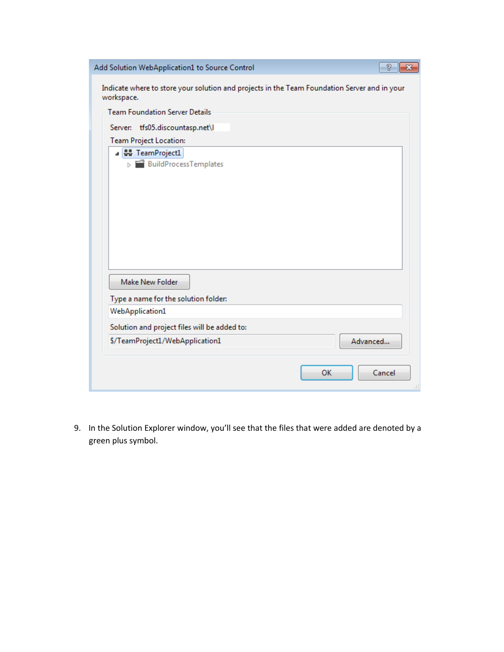| Add Solution WebApplication1 to Source Control<br>P                                                        |  |  |  |  |
|------------------------------------------------------------------------------------------------------------|--|--|--|--|
| Indicate where to store your solution and projects in the Team Foundation Server and in your<br>workspace. |  |  |  |  |
| <b>Team Foundation Server Details</b>                                                                      |  |  |  |  |
| Server: tfs05.discountasp.net\l                                                                            |  |  |  |  |
| <b>Team Project Location:</b>                                                                              |  |  |  |  |
| 4 <b>W</b> TeamProject1<br>> BuildProcessTemplates                                                         |  |  |  |  |
|                                                                                                            |  |  |  |  |
|                                                                                                            |  |  |  |  |
|                                                                                                            |  |  |  |  |
|                                                                                                            |  |  |  |  |
|                                                                                                            |  |  |  |  |
|                                                                                                            |  |  |  |  |
| Make New Folder                                                                                            |  |  |  |  |
| Type a name for the solution folder:                                                                       |  |  |  |  |
| WebApplication1                                                                                            |  |  |  |  |
| Solution and project files will be added to:                                                               |  |  |  |  |
| \$/TeamProject1/WebApplication1<br>Advanced                                                                |  |  |  |  |
| OK<br>Cancel                                                                                               |  |  |  |  |

9. In the Solution Explorer window, you'll see that the files that were added are denoted by a green plus symbol.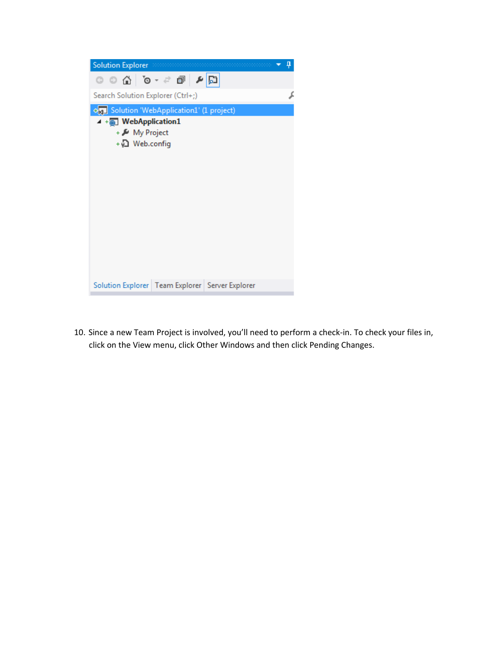

10. Since a new Team Project is involved, you'll need to perform a check-in. To check your files in, click on the View menu, click Other Windows and then click Pending Changes.